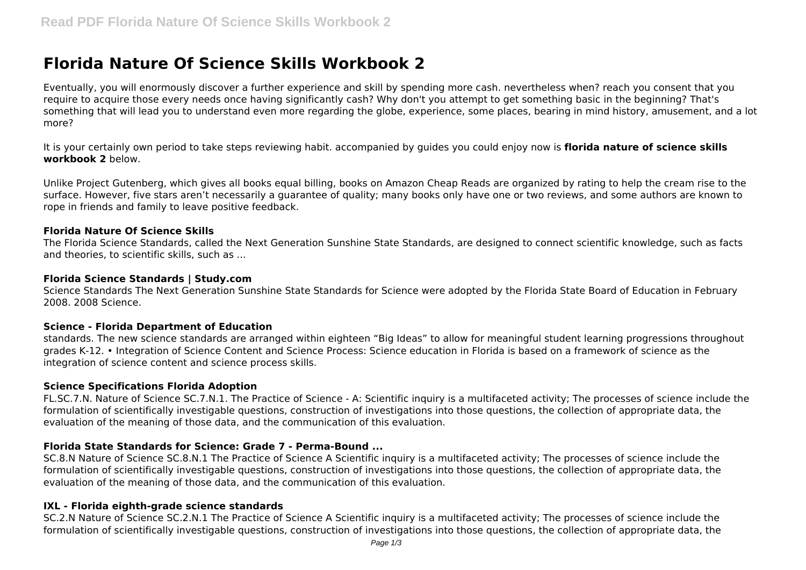# **Florida Nature Of Science Skills Workbook 2**

Eventually, you will enormously discover a further experience and skill by spending more cash. nevertheless when? reach you consent that you require to acquire those every needs once having significantly cash? Why don't you attempt to get something basic in the beginning? That's something that will lead you to understand even more regarding the globe, experience, some places, bearing in mind history, amusement, and a lot more?

It is your certainly own period to take steps reviewing habit. accompanied by guides you could enjoy now is **florida nature of science skills workbook 2** below.

Unlike Project Gutenberg, which gives all books equal billing, books on Amazon Cheap Reads are organized by rating to help the cream rise to the surface. However, five stars aren't necessarily a guarantee of quality; many books only have one or two reviews, and some authors are known to rope in friends and family to leave positive feedback.

## **Florida Nature Of Science Skills**

The Florida Science Standards, called the Next Generation Sunshine State Standards, are designed to connect scientific knowledge, such as facts and theories, to scientific skills, such as ...

#### **Florida Science Standards | Study.com**

Science Standards The Next Generation Sunshine State Standards for Science were adopted by the Florida State Board of Education in February 2008. 2008 Science.

#### **Science - Florida Department of Education**

standards. The new science standards are arranged within eighteen "Big Ideas" to allow for meaningful student learning progressions throughout grades K-12. • Integration of Science Content and Science Process: Science education in Florida is based on a framework of science as the integration of science content and science process skills.

#### **Science Specifications Florida Adoption**

FL.SC.7.N. Nature of Science SC.7.N.1. The Practice of Science - A: Scientific inquiry is a multifaceted activity; The processes of science include the formulation of scientifically investigable questions, construction of investigations into those questions, the collection of appropriate data, the evaluation of the meaning of those data, and the communication of this evaluation.

# **Florida State Standards for Science: Grade 7 - Perma-Bound ...**

SC.8.N Nature of Science SC.8.N.1 The Practice of Science A Scientific inquiry is a multifaceted activity; The processes of science include the formulation of scientifically investigable questions, construction of investigations into those questions, the collection of appropriate data, the evaluation of the meaning of those data, and the communication of this evaluation.

# **IXL - Florida eighth-grade science standards**

SC.2.N Nature of Science SC.2.N.1 The Practice of Science A Scientific inquiry is a multifaceted activity; The processes of science include the formulation of scientifically investigable questions, construction of investigations into those questions, the collection of appropriate data, the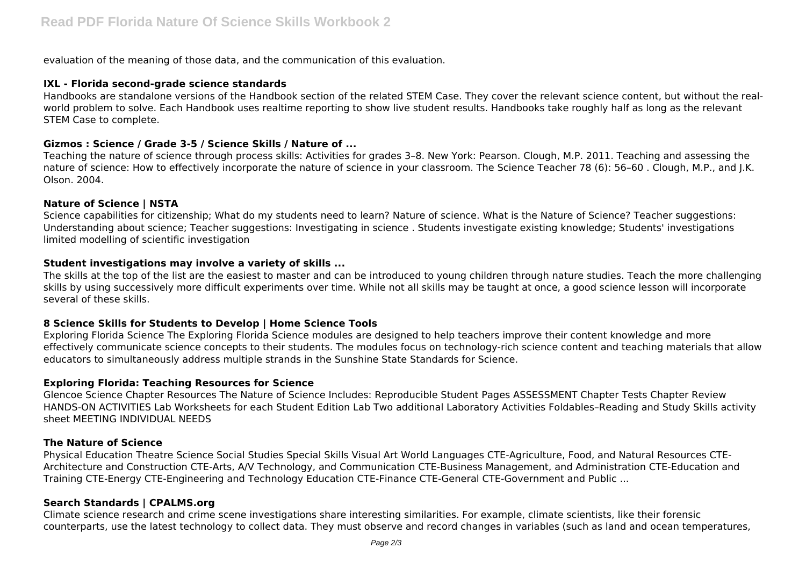evaluation of the meaning of those data, and the communication of this evaluation.

# **IXL - Florida second-grade science standards**

Handbooks are standalone versions of the Handbook section of the related STEM Case. They cover the relevant science content, but without the realworld problem to solve. Each Handbook uses realtime reporting to show live student results. Handbooks take roughly half as long as the relevant STEM Case to complete.

## **Gizmos : Science / Grade 3-5 / Science Skills / Nature of ...**

Teaching the nature of science through process skills: Activities for grades 3–8. New York: Pearson. Clough, M.P. 2011. Teaching and assessing the nature of science: How to effectively incorporate the nature of science in your classroom. The Science Teacher 78 (6): 56–60 . Clough, M.P., and J.K. Olson. 2004.

## **Nature of Science | NSTA**

Science capabilities for citizenship; What do my students need to learn? Nature of science. What is the Nature of Science? Teacher suggestions: Understanding about science; Teacher suggestions: Investigating in science . Students investigate existing knowledge; Students' investigations limited modelling of scientific investigation

## **Student investigations may involve a variety of skills ...**

The skills at the top of the list are the easiest to master and can be introduced to young children through nature studies. Teach the more challenging skills by using successively more difficult experiments over time. While not all skills may be taught at once, a good science lesson will incorporate several of these skills.

# **8 Science Skills for Students to Develop | Home Science Tools**

Exploring Florida Science The Exploring Florida Science modules are designed to help teachers improve their content knowledge and more effectively communicate science concepts to their students. The modules focus on technology-rich science content and teaching materials that allow educators to simultaneously address multiple strands in the Sunshine State Standards for Science.

#### **Exploring Florida: Teaching Resources for Science**

Glencoe Science Chapter Resources The Nature of Science Includes: Reproducible Student Pages ASSESSMENT Chapter Tests Chapter Review HANDS-ON ACTIVITIES Lab Worksheets for each Student Edition Lab Two additional Laboratory Activities Foldables–Reading and Study Skills activity sheet MEETING INDIVIDUAL NEEDS

#### **The Nature of Science**

Physical Education Theatre Science Social Studies Special Skills Visual Art World Languages CTE-Agriculture, Food, and Natural Resources CTE-Architecture and Construction CTE-Arts, A/V Technology, and Communication CTE-Business Management, and Administration CTE-Education and Training CTE-Energy CTE-Engineering and Technology Education CTE-Finance CTE-General CTE-Government and Public ...

# **Search Standards | CPALMS.org**

Climate science research and crime scene investigations share interesting similarities. For example, climate scientists, like their forensic counterparts, use the latest technology to collect data. They must observe and record changes in variables (such as land and ocean temperatures,